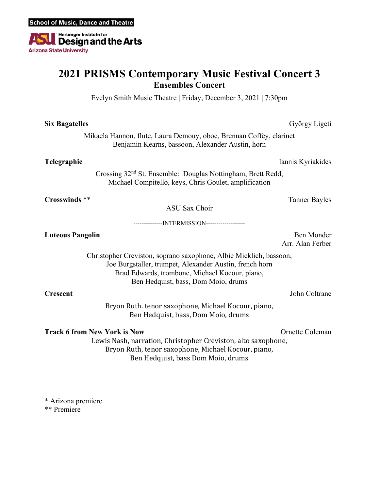

## **2021 PRISMS Contemporary Music Festival Concert 3 Ensembles Concert**

Evelyn Smith Music Theatre | Friday, December 3, 2021 | 7:30pm

| <b>Six Bagatelles</b>                                                                                                                                                                                                  | György Ligeti                                                                                                                                                                 |
|------------------------------------------------------------------------------------------------------------------------------------------------------------------------------------------------------------------------|-------------------------------------------------------------------------------------------------------------------------------------------------------------------------------|
| Mikaela Hannon, flute, Laura Demouy, oboe, Brennan Coffey, clarinet<br>Benjamin Kearns, bassoon, Alexander Austin, horn                                                                                                |                                                                                                                                                                               |
| Telegraphic                                                                                                                                                                                                            | Iannis Kyriakides                                                                                                                                                             |
| Crossing 32 <sup>nd</sup> St. Ensemble: Douglas Nottingham, Brett Redd,<br>Michael Compitello, keys, Chris Goulet, amplification                                                                                       |                                                                                                                                                                               |
| <b>Crosswinds</b> **                                                                                                                                                                                                   | <b>Tanner Bayles</b>                                                                                                                                                          |
| <b>ASU Sax Choir</b>                                                                                                                                                                                                   |                                                                                                                                                                               |
| ---------------INTERMISSION-------------------                                                                                                                                                                         |                                                                                                                                                                               |
| <b>Luteous Pangolin</b>                                                                                                                                                                                                | Ben Monder<br>Arr. Alan Ferber                                                                                                                                                |
| Christopher Creviston, soprano saxophone, Albie Micklich, bassoon,<br>Joe Burgstaller, trumpet, Alexander Austin, french horn<br>Brad Edwards, trombone, Michael Kocour, piano,<br>Ben Hedquist, bass, Dom Moio, drums |                                                                                                                                                                               |
| <b>Crescent</b>                                                                                                                                                                                                        | John Coltrane                                                                                                                                                                 |
| Bryon Ruth. tenor saxophone, Michael Kocour, piano,<br>Ben Hedquist, bass, Dom Moio, drums                                                                                                                             |                                                                                                                                                                               |
| <b>Track 6 from New York is Now</b>                                                                                                                                                                                    | Ornette Coleman<br>Lewis Nash, narration, Christopher Creviston, alto saxophone,<br>Bryon Ruth, tenor saxophone, Michael Kocour, piano,<br>Ben Hedquist, bass Dom Moio, drums |

\* Arizona premiere

\*\* Premiere